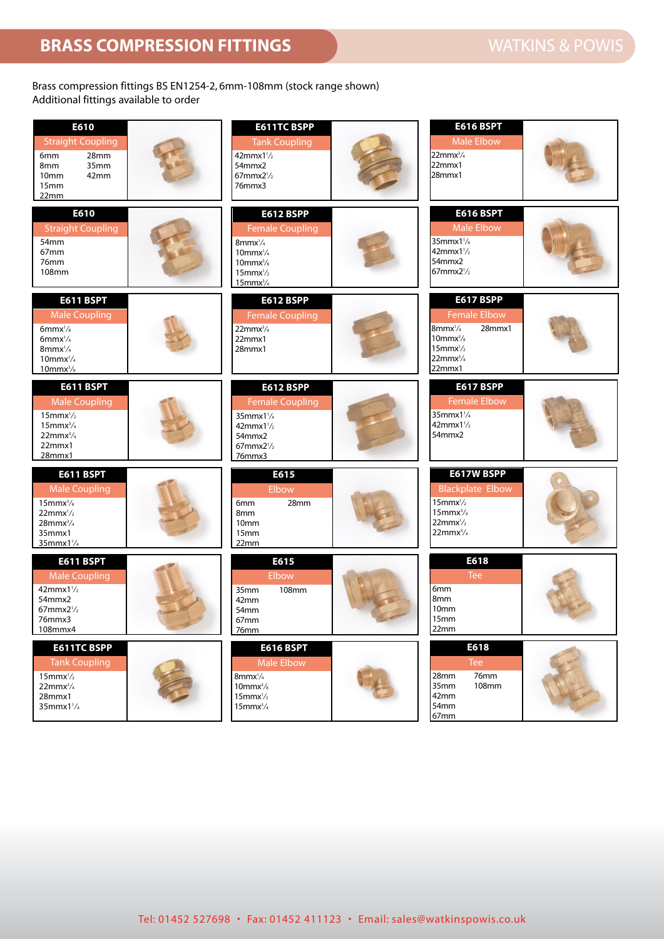## Brass compression fittings BS EN1254-2, 6mm-108mm (stock range shown) Additional fittings available to order

| E610<br><b>Straight Coupling</b><br>28mm<br>6mm<br>35mm<br>8 <sub>mm</sub><br>42mm<br>10 <sub>mm</sub><br>15 <sub>mm</sub><br>22mm                                   | <b>E611TC BSPP</b><br><b>Tank Coupling</b><br>$42$ mmx $1\frac{1}{2}$<br>54mmx2<br>$67$ mmx $2\frac{1}{2}$<br>76mmx3                                           | <b>E616 BSPT</b><br><b>Male Elbow</b><br>$22$ mmx $\frac{3}{4}$<br>22mmx1<br>28mmx1                                                                         |
|----------------------------------------------------------------------------------------------------------------------------------------------------------------------|----------------------------------------------------------------------------------------------------------------------------------------------------------------|-------------------------------------------------------------------------------------------------------------------------------------------------------------|
| E610<br><b>Straight Coupling</b><br>54mm<br>67mm<br>76mm<br>108mm                                                                                                    | <b>E612 BSPP</b><br><b>Female Coupling</b><br>$8$ mmx $\frac{1}{4}$<br>$10$ mmx $\frac{1}{4}$<br>$10$ mm $x^3$ /s<br>$15$ mmx $\frac{1}{2}$<br>$15$ mm $x^3/4$ | <b>E616 BSPT</b><br><b>Male Elbow</b><br>35mmx11/4<br>$42$ mmx $1\frac{1}{2}$<br>54mmx2<br>67mmx2 <sup>1</sup> /2                                           |
| <b>E611 BSPT</b><br><b>Male Coupling</b><br>$6$ mmx $\frac{1}{8}$<br>6mm $x\frac{1}{4}$<br>$8$ mmx $\frac{1}{4}$<br>$10$ mmx $\frac{1}{4}$<br>$10$ mmx $\frac{3}{8}$ | <b>E612 BSPP</b><br><b>Female Coupling</b><br>$22$ mm $x^3/4$<br>22mmx1<br>$28$ mm $x1$                                                                        | <b>E617 BSPP</b><br><b>Female Elbow</b><br>$8$ mmx $\frac{1}{4}$<br>28mmx1<br>$10$ mm $x^3/s$<br>$15$ mmx $\frac{1}{2}$<br>$22$ mmx $\frac{3}{4}$<br>22mmx1 |
| <b>E611 BSPT</b><br><b>Male Coupling</b><br>$15$ mmx $\frac{1}{2}$<br>$15$ mm $x^3/4$<br>$22mmx^3/4$<br>22mmx1<br>28mmx1                                             | <b>E612 BSPP</b><br><b>Female Coupling</b><br>$35$ mmx $1\frac{1}{4}$<br>$42$ mmx $1\frac{1}{2}$<br>54mmx2<br>$67$ mmx $2\frac{1}{2}$<br>76mmx3                | <b>E617 BSPP</b><br><b>Female Elbow</b><br>$35$ mmx $1\frac{1}{4}$<br>$42$ mmx $1\frac{1}{2}$<br>54mmx2                                                     |
| <b>E611 BSPT</b><br><b>Male Coupling</b><br>$15$ mm $x^3/s$<br>$22mmx^1/2$<br>$28$ mmx $^{3}/_{4}$<br>35mmx1<br>$35$ mmx $1\frac{1}{4}$                              | E615<br>Elbow<br>28mm<br>6 <sub>mm</sub><br>8 <sub>mm</sub><br>10 <sub>mm</sub><br>15 <sub>mm</sub><br>22mm                                                    | E617W BSPP<br><b>Blackplate Elbow</b><br>$15$ mmx $\frac{1}{2}$<br>$15$ mmx $\frac{3}{4}$<br>$22$ mmx $\frac{1}{2}$<br>$22mmx^3/4$                          |
| <b>E611 BSPT</b><br><b>Male Coupling</b><br>$42mmx1\frac{1}{2}$<br>54mmx2<br>$67$ mmx $2\frac{1}{2}$<br>76mmx3<br>108mmx4                                            | E615<br>Elbow<br>35mm<br>108mm<br>42mm<br>54mm<br>67 <sub>mm</sub><br>76mm                                                                                     | E618<br><b>Tee</b><br>6mm<br>8 <sub>mm</sub><br>10 <sub>mm</sub><br>15mm<br>22mm                                                                            |
| <b>E611TC BSPP</b><br><b>Tank Coupling</b><br>$15$ mmx $\frac{1}{2}$<br>$22mmx^3/4$<br>28mmx1<br>$35$ mmx $1\frac{1}{4}$                                             | <b>E616 BSPT</b><br>Male Elbow<br>$8$ mmx $\frac{1}{4}$<br>$10$ mm $x^3/s$<br>$15$ mmx $\frac{1}{2}$<br>$15$ mm $x^3/4$                                        | E618<br>Tee<br>76mm<br>28mm<br><b>108mm</b><br>35mm<br>42mm<br>54mm<br>67mm                                                                                 |